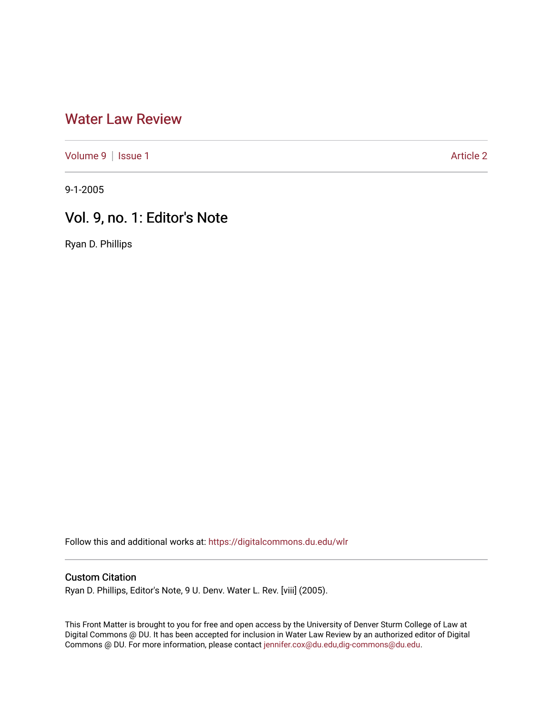## [Water Law Review](https://digitalcommons.du.edu/wlr)

[Volume 9](https://digitalcommons.du.edu/wlr/vol9) | [Issue 1](https://digitalcommons.du.edu/wlr/vol9/iss1) Article 2

9-1-2005

## Vol. 9, no. 1: Editor's Note

Ryan D. Phillips

Follow this and additional works at: [https://digitalcommons.du.edu/wlr](https://digitalcommons.du.edu/wlr?utm_source=digitalcommons.du.edu%2Fwlr%2Fvol9%2Fiss1%2F2&utm_medium=PDF&utm_campaign=PDFCoverPages) 

## Custom Citation

Ryan D. Phillips, Editor's Note, 9 U. Denv. Water L. Rev. [viii] (2005).

This Front Matter is brought to you for free and open access by the University of Denver Sturm College of Law at Digital Commons @ DU. It has been accepted for inclusion in Water Law Review by an authorized editor of Digital Commons @ DU. For more information, please contact [jennifer.cox@du.edu,dig-commons@du.edu.](mailto:jennifer.cox@du.edu,dig-commons@du.edu)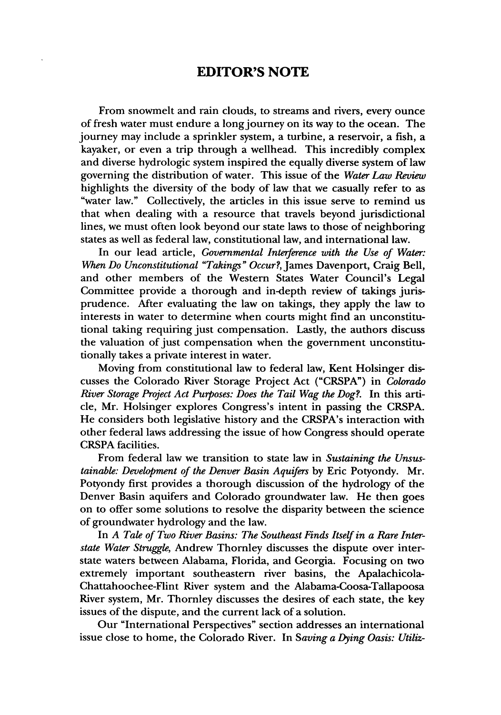## **EDITOR'S NOTE**

From snowmelt and rain clouds, to streams and rivers, every ounce of fresh water must endure a long journey on its way to the ocean. The journey may include a sprinkler system, a turbine, a reservoir, a fish, a kayaker, or even a trip through a wellhead. This incredibly complex and diverse hydrologic system inspired the equally diverse system of law governing the distribution of water. This issue of the *Water Law Review* highlights the diversity of the body of law that we casually refer to as "water law." Collectively, the articles in this issue serve to remind us that when dealing with a resource that travels beyond jurisdictional lines, we must often look beyond our state laws to those of neighboring states as well as federal law, constitutional law, and international law.

In our lead article, *Governmental Interference with the Use of Water:* When *Do Unconstitutional "Takings" Occur?,* James Davenport, Craig Bell, and other members of the Western States Water Council's Legal Committee provide a thorough and in-depth review of takings jurisprudence. After evaluating the law on takings, they apply the law to interests in water to determine when courts might find an unconstitutional taking requiring just compensation. Lastly, the authors discuss the valuation of just compensation when the government unconstitutionally takes a private interest in water.

Moving from constitutional law to federal law, Kent Holsinger discusses the Colorado River Storage Project Act ("CRSPA") in *Colorado River Storage Project Act Purposes: Does the Tail Wag the Dog?.* In this article, Mr. Holsinger explores Congress's intent in passing the CRSPA. He considers both legislative history and the CRSPA's interaction with other federal laws addressing the issue of how Congress should operate CRSPA facilities.

From federal law we transition to state law in *Sustaining the Unsustainable: Development of the Denver Basin Aquifers* by Eric Potyondy. Mr. Potyondy first provides a thorough discussion of the hydrology of the Denver Basin aquifers and Colorado groundwater law. He then goes on to offer some solutions to resolve the disparity between the science of groundwater hydrology and the law.

In *A Tale of Two River Basins: The Southeast Finds Itself in a Rare Interstate Water Struggle,* Andrew Thornley discusses the dispute over interstate waters between Alabama, Florida, and Georgia. Focusing on two extremely important southeastern river basins, the Apalachicola-Chattahoochee-Flint River system and the Alabama-Coosa-Tallapoosa River system, Mr. Thornley discusses the desires of each state, the key issues of the dispute, and the current lack of a solution.

Our "International Perspectives" section addresses an international issue close to home, the Colorado River. In *Saving a Dying Oasis: Utiliz-*